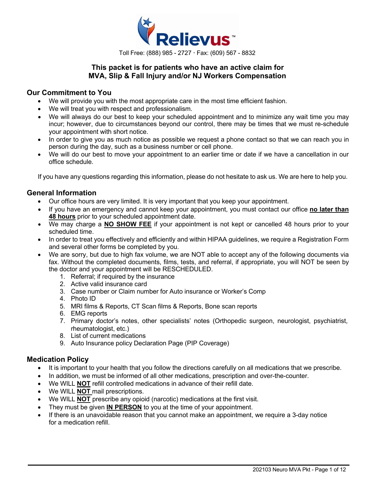

## **This packet is for patients who have an active claim for MVA, Slip & Fall Injury and/or NJ Workers Compensation**

## **Our Commitment to You**

- We will provide you with the most appropriate care in the most time efficient fashion.
- We will treat you with respect and professionalism.
- We will always do our best to keep your scheduled appointment and to minimize any wait time you may incur; however, due to circumstances beyond our control, there may be times that we must re-schedule your appointment with short notice.
- In order to give you as much notice as possible we request a phone contact so that we can reach you in person during the day, such as a business number or cell phone.
- We will do our best to move your appointment to an earlier time or date if we have a cancellation in our office schedule.

If you have any questions regarding this information, please do not hesitate to ask us. We are here to help you.

### **General Information**

- Our office hours are very limited. It is very important that you keep your appointment.
- If you have an emergency and cannot keep your appointment, you must contact our office **no later than 48 hours** prior to your scheduled appointment date.
- We may charge a **NO SHOW FEE** if your appointment is not kept or cancelled 48 hours prior to your scheduled time.
- In order to treat you effectively and efficiently and within HIPAA guidelines, we require a Registration Form and several other forms be completed by you.
- We are sorry, but due to high fax volume, we are NOT able to accept any of the following documents via fax. Without the completed documents, films, tests, and referral, if appropriate, you will NOT be seen by the doctor and your appointment will be RESCHEDULED.
	- 1. Referral; if required by the insurance
	- 2. Active valid insurance card
	- 3. Case number or Claim number for Auto insurance or Worker's Comp
	- 4. Photo ID
	- 5. MRI films & Reports, CT Scan films & Reports, Bone scan reports
	- 6. EMG reports
	- 7. Primary doctor's notes, other specialists' notes (Orthopedic surgeon, neurologist, psychiatrist, rheumatologist, etc.)
	- 8. List of current medications
	- 9. Auto Insurance policy Declaration Page (PIP Coverage)

### **Medication Policy**

- It is important to your health that you follow the directions carefully on all medications that we prescribe.
- In addition, we must be informed of all other medications, prescription and over-the-counter.
- We WILL **NOT** refill controlled medications in advance of their refill date.
- We WILL **NOT** mail prescriptions.
- We WILL **NOT** prescribe any opioid (narcotic) medications at the first visit.
- They must be given **IN PERSON** to you at the time of your appointment.
- If there is an unavoidable reason that you cannot make an appointment, we require a 3-day notice for a medication refill.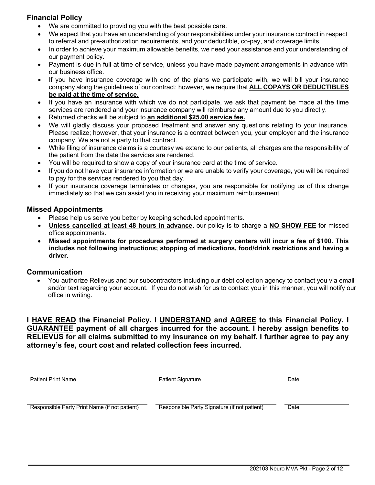## **Financial Policy**

- We are committed to providing you with the best possible care.
- We expect that you have an understanding of your responsibilities under your insurance contract in respect to referral and pre-authorization requirements, and your deductible, co-pay, and coverage limits.
- In order to achieve your maximum allowable benefits, we need your assistance and your understanding of our payment policy.
- Payment is due in full at time of service, unless you have made payment arrangements in advance with our business office.
- If you have insurance coverage with one of the plans we participate with, we will bill your insurance company along the guidelines of our contract; however, we require that **ALL COPAYS OR DEDUCTIBLES be paid at the time of service.**
- If you have an insurance with which we do not participate, we ask that payment be made at the time services are rendered and your insurance company will reimburse any amount due to you directly.
- Returned checks will be subject to **an additional \$25.00 service fee.**
- We will gladly discuss your proposed treatment and answer any questions relating to your insurance. Please realize; however, that your insurance is a contract between you, your employer and the insurance company. We are not a party to that contract.
- While filing of insurance claims is a courtesy we extend to our patients, all charges are the responsibility of the patient from the date the services are rendered.
- You will be required to show a copy of your insurance card at the time of service.
- If you do not have your insurance information or we are unable to verify your coverage, you will be required to pay for the services rendered to you that day.
- If your insurance coverage terminates or changes, you are responsible for notifying us of this change immediately so that we can assist you in receiving your maximum reimbursement.

## **Missed Appointments**

- Please help us serve you better by keeping scheduled appointments.
- **Unless cancelled at least 48 hours in advance,** our policy is to charge a **NO SHOW FEE** for missed office appointments.
- **Missed appointments for procedures performed at surgery centers will incur a fee of \$100. This includes not following instructions; stopping of medications, food/drink restrictions and having a driver.**

### **Communication**

• You authorize Relievus and our subcontractors including our debt collection agency to contact you via email and/or text regarding your account. If you do not wish for us to contact you in this manner, you will notify our office in writing.

**I HAVE READ the Financial Policy. I UNDERSTAND and AGREE to this Financial Policy. I GUARANTEE payment of all charges incurred for the account. I hereby assign benefits to RELIEVUS for all claims submitted to my insurance on my behalf. I further agree to pay any attorney's fee, court cost and related collection fees incurred.**

| <b>Patient Print Name</b>                     | <b>Patient Signature</b>                     | Date |
|-----------------------------------------------|----------------------------------------------|------|
|                                               |                                              |      |
| Responsible Party Print Name (if not patient) | Responsible Party Signature (if not patient) | Date |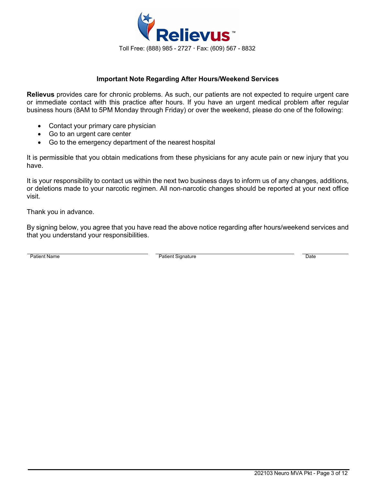

### **Important Note Regarding After Hours/Weekend Services**

**Relievus** provides care for chronic problems. As such, our patients are not expected to require urgent care or immediate contact with this practice after hours. If you have an urgent medical problem after regular business hours (8AM to 5PM Monday through Friday) or over the weekend, please do one of the following:

- Contact your primary care physician
- Go to an urgent care center
- Go to the emergency department of the nearest hospital

It is permissible that you obtain medications from these physicians for any acute pain or new injury that you have.

It is your responsibility to contact us within the next two business days to inform us of any changes, additions, or deletions made to your narcotic regimen. All non-narcotic changes should be reported at your next office visit.

Thank you in advance.

By signing below, you agree that you have read the above notice regarding after hours/weekend services and that you understand your responsibilities.

Patient Name **Patient Signature Patient Signature Patient Signature Date**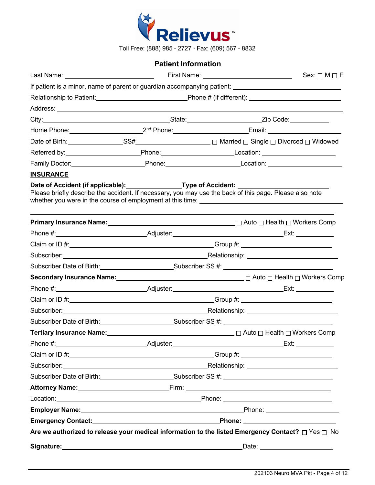

Toll Free: (888) 985 - 2727 Fax: (609) 567 - 8832

## **Patient Information**

|                                                                                                         |                                                                                            |  | Sex: $\Box$ M $\Box$ F                                                                                                                                                                                                         |  |  |
|---------------------------------------------------------------------------------------------------------|--------------------------------------------------------------------------------------------|--|--------------------------------------------------------------------------------------------------------------------------------------------------------------------------------------------------------------------------------|--|--|
|                                                                                                         |                                                                                            |  | If patient is a minor, name of parent or guardian accompanying patient: [11] patient:                                                                                                                                          |  |  |
|                                                                                                         |                                                                                            |  |                                                                                                                                                                                                                                |  |  |
|                                                                                                         |                                                                                            |  |                                                                                                                                                                                                                                |  |  |
|                                                                                                         |                                                                                            |  |                                                                                                                                                                                                                                |  |  |
|                                                                                                         |                                                                                            |  |                                                                                                                                                                                                                                |  |  |
|                                                                                                         |                                                                                            |  |                                                                                                                                                                                                                                |  |  |
|                                                                                                         |                                                                                            |  |                                                                                                                                                                                                                                |  |  |
|                                                                                                         |                                                                                            |  | Family Doctor: _____________________________Phone: ______________________________                                                                                                                                              |  |  |
| <b>INSURANCE</b>                                                                                        |                                                                                            |  |                                                                                                                                                                                                                                |  |  |
| Please briefly describe the accident. If necessary, you may use the back of this page. Please also note |                                                                                            |  | Date of Accident (if applicable):_________________Type of Accident: _______________________________                                                                                                                            |  |  |
|                                                                                                         |                                                                                            |  | Primary Insurance Name: Mame: Manner Comp C Auto D Health D Workers Comp C Auto D Health D Workers Comp                                                                                                                        |  |  |
|                                                                                                         |                                                                                            |  |                                                                                                                                                                                                                                |  |  |
|                                                                                                         |                                                                                            |  |                                                                                                                                                                                                                                |  |  |
|                                                                                                         |                                                                                            |  |                                                                                                                                                                                                                                |  |  |
|                                                                                                         | Subscriber Date of Birth: Subscriber SS #: Contract Date of Birth: Contract Date of Birth: |  |                                                                                                                                                                                                                                |  |  |
|                                                                                                         |                                                                                            |  | Secondary Insurance Name: <u>2000 and 2000 and 2000</u> and 2000 and 2000 and 2000 and 2000 and 2000 and 2000 and 200                                                                                                          |  |  |
|                                                                                                         |                                                                                            |  |                                                                                                                                                                                                                                |  |  |
|                                                                                                         |                                                                                            |  |                                                                                                                                                                                                                                |  |  |
|                                                                                                         |                                                                                            |  | Subscriber: Material Contract Contract Contract Contract Contract Contract Contract Contract Contract Contract Contract Contract Contract Contract Contract Contract Contract Contract Contract Contract Contract Contract Con |  |  |
|                                                                                                         |                                                                                            |  | Subscriber Date of Birth: Subscriber SS #: Cubscriber SS #: Cubscriber SS #: Cubscriber Date of Birth:                                                                                                                         |  |  |
|                                                                                                         |                                                                                            |  |                                                                                                                                                                                                                                |  |  |
| Phone #: Adjuster: Adjuster:                                                                            |                                                                                            |  |                                                                                                                                                                                                                                |  |  |
|                                                                                                         |                                                                                            |  |                                                                                                                                                                                                                                |  |  |
|                                                                                                         |                                                                                            |  | Subscriber: Nelationship: Nelationship: Nelationship: Nelationship: Nelationship:                                                                                                                                              |  |  |
|                                                                                                         |                                                                                            |  | Subscriber Date of Birth: Subscriber SS #: Contract Date of Birth:                                                                                                                                                             |  |  |
|                                                                                                         |                                                                                            |  | Attorney Name: Name: Name and Attorney Name: Name and Attorney Name and Attorney Name and Attorney Name and Attorney Attorney Attorney Attorney Attorney Attorney Attorney Attorney Attorney Attorney Attorney Attorney Attorn |  |  |
|                                                                                                         |                                                                                            |  | Location: <u>contraction</u> contract and contract the property of Phone: <u>Contract of Phone</u>                                                                                                                             |  |  |
|                                                                                                         |                                                                                            |  |                                                                                                                                                                                                                                |  |  |
|                                                                                                         |                                                                                            |  |                                                                                                                                                                                                                                |  |  |
|                                                                                                         |                                                                                            |  | Are we authorized to release your medical information to the listed Emergency Contact? $\Box$ Yes $\Box$ No                                                                                                                    |  |  |
|                                                                                                         |                                                                                            |  | Date: ________________________                                                                                                                                                                                                 |  |  |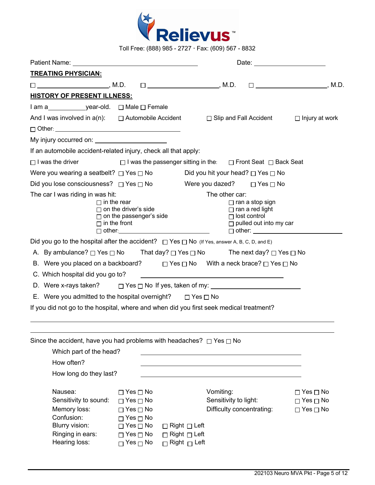

Toll Free: (888) 985 - 2727 Fax: (609) 567 - 8832

| <b>TREATING PHYSICIAN:</b>                                                                                                                                                                                                          |                                                                                                                                                                      |                                                                                                                                                     |                                                                                                                                  |                                                                      |  |
|-------------------------------------------------------------------------------------------------------------------------------------------------------------------------------------------------------------------------------------|----------------------------------------------------------------------------------------------------------------------------------------------------------------------|-----------------------------------------------------------------------------------------------------------------------------------------------------|----------------------------------------------------------------------------------------------------------------------------------|----------------------------------------------------------------------|--|
| $\square$ , M.D.                                                                                                                                                                                                                    |                                                                                                                                                                      |                                                                                                                                                     |                                                                                                                                  |                                                                      |  |
| <b>HISTORY OF PRESENT ILLNESS:</b>                                                                                                                                                                                                  |                                                                                                                                                                      |                                                                                                                                                     |                                                                                                                                  |                                                                      |  |
| I am a year-old. □ Male □ Female                                                                                                                                                                                                    |                                                                                                                                                                      |                                                                                                                                                     |                                                                                                                                  |                                                                      |  |
| And I was involved in $a(n)$ : $\Box$ Automobile Accident                                                                                                                                                                           |                                                                                                                                                                      |                                                                                                                                                     | $\Box$ Slip and Fall Accident                                                                                                    | $\Box$ Injury at work                                                |  |
|                                                                                                                                                                                                                                     |                                                                                                                                                                      |                                                                                                                                                     |                                                                                                                                  |                                                                      |  |
| My injury occurred on: <u>contained</u> and the set of the set of the set of the set of the set of the set of the set of the set of the set of the set of the set of the set of the set of the set of the set of the set of the set |                                                                                                                                                                      |                                                                                                                                                     |                                                                                                                                  |                                                                      |  |
| If an automobile accident-related injury, check all that apply:                                                                                                                                                                     |                                                                                                                                                                      |                                                                                                                                                     |                                                                                                                                  |                                                                      |  |
| $\Box$ I was the driver                                                                                                                                                                                                             |                                                                                                                                                                      | □ I was the passenger sitting in the: □ Front Seat □ Back Seat                                                                                      |                                                                                                                                  |                                                                      |  |
| Were you wearing a seatbelt? $\Box$ Yes $\Box$ No                                                                                                                                                                                   |                                                                                                                                                                      | Did you hit your head? $\Box$ Yes $\Box$ No                                                                                                         |                                                                                                                                  |                                                                      |  |
| Did you lose consciousness? □ Yes □ No                                                                                                                                                                                              |                                                                                                                                                                      | Were you dazed? $\Box$ Yes $\Box$ No                                                                                                                |                                                                                                                                  |                                                                      |  |
| The car I was riding in was hit:<br>$\Box$ in the rear<br>Did you go to the hospital after the accident? $\Box$ Yes $\Box$ No (If Yes, answer A, B, C, D, and E)                                                                    | $\Box$ on the driver's side<br>$\Box$ on the passenger's side<br>$\Box$ in the front<br>$\Box$ other: $\Box$                                                         | The other car:                                                                                                                                      | $\Box$ ran a stop sign<br>$\Box$ ran a red light<br>$\Box$ lost control<br>$\Box$ pulled out into my car<br>$\Box$ other: $\Box$ |                                                                      |  |
| A. By ambulance? $\Box$ Yes $\Box$ No That day? $\Box$ Yes $\Box$ No The next day? $\Box$ Yes $\Box$ No                                                                                                                             |                                                                                                                                                                      |                                                                                                                                                     |                                                                                                                                  |                                                                      |  |
| B. Were you placed on a backboard? $\square$ Yes $\square$ No With a neck brace? $\square$ Yes $\square$ No                                                                                                                         |                                                                                                                                                                      |                                                                                                                                                     |                                                                                                                                  |                                                                      |  |
| C. Which hospital did you go to?                                                                                                                                                                                                    |                                                                                                                                                                      | <u> 1980 - Andrea Andrew Maria (h. 1980).</u>                                                                                                       |                                                                                                                                  |                                                                      |  |
| D. Were x-rays taken? $\Box$ Yes $\Box$ No If yes, taken of my:                                                                                                                                                                     |                                                                                                                                                                      |                                                                                                                                                     |                                                                                                                                  |                                                                      |  |
| E. Were you admitted to the hospital overnight? $\Box$ Yes $\Box$ No                                                                                                                                                                |                                                                                                                                                                      |                                                                                                                                                     |                                                                                                                                  |                                                                      |  |
| If you did not go to the hospital, where and when did you first seek medical treatment?                                                                                                                                             |                                                                                                                                                                      |                                                                                                                                                     |                                                                                                                                  |                                                                      |  |
| Since the accident, have you had problems with headaches? $\Box$ Yes $\Box$ No<br>Which part of the head?<br>How often?<br>How long do they last?                                                                                   |                                                                                                                                                                      |                                                                                                                                                     |                                                                                                                                  |                                                                      |  |
| Nausea:<br>Sensitivity to sound:<br>Memory loss:<br>Confusion:<br>Blurry vision:<br>Ringing in ears:<br>Hearing loss:                                                                                                               | $\Box$ Yes $\Box$ No<br>$\Box$ Yes $\Box$ No<br>$\Box$ Yes $\Box$ No<br>$\Box$ Yes $\Box$ No<br>$\Box$ Yes $\Box$ No<br>$\Box$ Yes $\Box$ No<br>$\Box$ Yes $\Box$ No | Vomiting:<br>Sensitivity to light:<br>Difficulty concentrating:<br>$\Box$ Right $\Box$ Left<br>$\Box$ Right $\Box$ Left<br>$\Box$ Right $\Box$ Left |                                                                                                                                  | $\Box$ Yes $\Box$ No<br>$\Box$ Yes $\Box$ No<br>$\Box$ Yes $\Box$ No |  |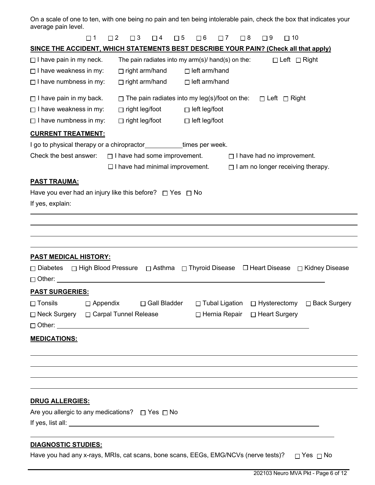On a scale of one to ten, with one being no pain and ten being intolerable pain, check the box that indicates your average pain level.

| $\square$ 1                                                                                 | $\Box$ 2        | $\Box$ 3              | $\Box$ 4                                             | $\square$ 5 | $\Box$ 6             | $\Box$ 7         | $\Box$ 8 | $\square$ 9                               | $\Box$ 10                |                                                                                   |
|---------------------------------------------------------------------------------------------|-----------------|-----------------------|------------------------------------------------------|-------------|----------------------|------------------|----------|-------------------------------------------|--------------------------|-----------------------------------------------------------------------------------|
| <b>SINCE THE ACCIDENT, WHICH STATEMENTS BEST DESCRIBE YOUR PAIN? (Check all that apply)</b> |                 |                       |                                                      |             |                      |                  |          |                                           |                          |                                                                                   |
| $\Box$ I have pain in my neck.                                                              |                 |                       | The pain radiates into my $arm(s)/$ hand(s) on the:  |             |                      |                  |          |                                           | $\Box$ Left $\Box$ Right |                                                                                   |
| $\Box$ I have weakness in my:                                                               |                 | $\Box$ right arm/hand |                                                      |             | $\Box$ left arm/hand |                  |          |                                           |                          |                                                                                   |
| $\Box$ I have numbness in my:                                                               |                 | $\Box$ right arm/hand |                                                      |             | $\Box$ left arm/hand |                  |          |                                           |                          |                                                                                   |
| $\Box$ I have pain in my back.                                                              |                 |                       | $\Box$ The pain radiates into my leg(s)/foot on the: |             |                      |                  |          |                                           | □ Left □ Right           |                                                                                   |
| $\Box$ I have weakness in my:                                                               |                 | $\Box$ right leg/foot |                                                      |             | $\Box$ left leg/foot |                  |          |                                           |                          |                                                                                   |
| $\Box$ I have numbness in my:                                                               |                 | $\Box$ right leg/foot |                                                      |             | $\Box$ left leg/foot |                  |          |                                           |                          |                                                                                   |
| <b>CURRENT TREATMENT:</b>                                                                   |                 |                       |                                                      |             |                      |                  |          |                                           |                          |                                                                                   |
| I go to physical therapy or a chiropractor__________times per week.                         |                 |                       |                                                      |             |                      |                  |          |                                           |                          |                                                                                   |
| Check the best answer:                                                                      |                 |                       | $\Box$ I have had some improvement.                  |             |                      |                  |          | $\Box$ I have had no improvement.         |                          |                                                                                   |
|                                                                                             |                 |                       | $\Box$ I have had minimal improvement.               |             |                      |                  |          |                                           |                          | $\Box$ I am no longer receiving therapy.                                          |
| <b>PAST TRAUMA:</b>                                                                         |                 |                       |                                                      |             |                      |                  |          |                                           |                          |                                                                                   |
| Have you ever had an injury like this before? $\Box$ Yes $\Box$ No                          |                 |                       |                                                      |             |                      |                  |          |                                           |                          |                                                                                   |
| If yes, explain:                                                                            |                 |                       |                                                      |             |                      |                  |          |                                           |                          |                                                                                   |
|                                                                                             |                 |                       |                                                      |             |                      |                  |          |                                           |                          |                                                                                   |
|                                                                                             |                 |                       |                                                      |             |                      |                  |          |                                           |                          |                                                                                   |
|                                                                                             |                 |                       |                                                      |             |                      |                  |          |                                           |                          |                                                                                   |
|                                                                                             |                 |                       |                                                      |             |                      |                  |          |                                           |                          |                                                                                   |
| <u>PAST MEDICAL HISTORY:</u>                                                                |                 |                       |                                                      |             |                      |                  |          |                                           |                          |                                                                                   |
| $\Box$ Diabetes<br>$\Box$ Other:                                                            |                 |                       |                                                      |             |                      |                  |          |                                           |                          | □ High Blood Pressure □ Asthma □ Thyroid Disease □ Heart Disease □ Kidney Disease |
|                                                                                             |                 |                       |                                                      |             |                      |                  |          |                                           |                          |                                                                                   |
| <b>PAST SURGERIES:</b>                                                                      |                 |                       |                                                      |             |                      |                  |          |                                           |                          |                                                                                   |
| $\Box$ Tonsils<br>□ Neck Surgery □ Carpal Tunnel Release                                    | $\Box$ Appendix |                       | □ Gall Bladder                                       |             |                      | □ Tubal Ligation |          | □ Hysterectomy                            |                          | □ Back Surgery                                                                    |
|                                                                                             |                 |                       |                                                      |             |                      |                  |          | $\Box$ Hernia Repair $\Box$ Heart Surgery |                          |                                                                                   |
| <b>MEDICATIONS:</b>                                                                         |                 |                       |                                                      |             |                      |                  |          |                                           |                          |                                                                                   |
|                                                                                             |                 |                       |                                                      |             |                      |                  |          |                                           |                          |                                                                                   |
|                                                                                             |                 |                       |                                                      |             |                      |                  |          |                                           |                          |                                                                                   |
|                                                                                             |                 |                       |                                                      |             |                      |                  |          |                                           |                          |                                                                                   |
|                                                                                             |                 |                       |                                                      |             |                      |                  |          |                                           |                          |                                                                                   |
|                                                                                             |                 |                       |                                                      |             |                      |                  |          |                                           |                          |                                                                                   |
| <b>DRUG ALLERGIES:</b>                                                                      |                 |                       |                                                      |             |                      |                  |          |                                           |                          |                                                                                   |
| Are you allergic to any medications? $\Box$ Yes $\Box$ No                                   |                 |                       |                                                      |             |                      |                  |          |                                           |                          |                                                                                   |
|                                                                                             |                 |                       |                                                      |             |                      |                  |          |                                           |                          |                                                                                   |
|                                                                                             |                 |                       |                                                      |             |                      |                  |          |                                           |                          |                                                                                   |
| <b>DIAGNOSTIC STUDIES:</b>                                                                  |                 |                       |                                                      |             |                      |                  |          |                                           |                          |                                                                                   |

Have you had any x-rays, MRIs, cat scans, bone scans, EEGs, EMG/NCVs (nerve tests)?  $\Box$  Yes  $\Box$  No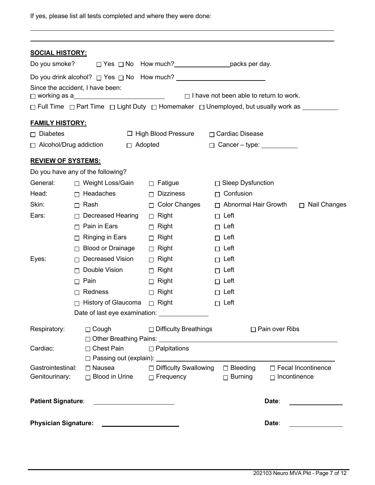If yes, please list all tests completed and where they were done:

| <b>SOCIAL HISTORY:</b>      |        |                                                                                |                |                                                                                                                                                                                                                               |                                                |                       |                           |
|-----------------------------|--------|--------------------------------------------------------------------------------|----------------|-------------------------------------------------------------------------------------------------------------------------------------------------------------------------------------------------------------------------------|------------------------------------------------|-----------------------|---------------------------|
| Do you smoke?               |        |                                                                                |                | □ Yes □ No How much? _______________________packs per day.                                                                                                                                                                    |                                                |                       |                           |
|                             |        |                                                                                |                |                                                                                                                                                                                                                               |                                                |                       |                           |
|                             |        | Since the accident, I have been:<br>□ working as a____________________________ |                |                                                                                                                                                                                                                               | $\Box$ I have not been able to return to work. |                       |                           |
|                             |        |                                                                                |                | □ Full Time □ Part Time □ Light Duty □ Homemaker □ Unemployed, but usually work as ________                                                                                                                                   |                                                |                       |                           |
| <b>FAMILY HISTORY:</b>      |        |                                                                                |                |                                                                                                                                                                                                                               |                                                |                       |                           |
| $\Box$ Diabetes             |        |                                                                                |                | $\Box$ High Blood Pressure                                                                                                                                                                                                    | □ Cardiac Disease                              |                       |                           |
| □ Alcohol/Drug addiction    |        |                                                                                | $\Box$ Adopted |                                                                                                                                                                                                                               | $\Box$ Cancer - type: $\Box$                   |                       |                           |
|                             |        |                                                                                |                |                                                                                                                                                                                                                               |                                                |                       |                           |
| <b>REVIEW OF SYSTEMS:</b>   |        |                                                                                |                |                                                                                                                                                                                                                               |                                                |                       |                           |
|                             |        | Do you have any of the following?                                              |                |                                                                                                                                                                                                                               |                                                |                       |                           |
| General:                    |        | □ Weight Loss/Gain                                                             |                | $\Box$ Fatigue                                                                                                                                                                                                                | □ Sleep Dysfunction                            |                       |                           |
| Head:                       |        | $\Box$ Headaches                                                               |                | <b>Dizziness</b><br>$\Box$                                                                                                                                                                                                    | $\Box$ Confusion                               |                       |                           |
| Skin:                       | $\Box$ | Rash                                                                           |                | $\Box$ Color Changes                                                                                                                                                                                                          | $\Box$ Abnormal Hair Growth                    |                       | □ Nail Changes            |
| Ears:                       | $\Box$ | <b>Decreased Hearing</b>                                                       |                | $\Box$ Right                                                                                                                                                                                                                  | $\Box$ Left                                    |                       |                           |
|                             | П      | Pain in Ears                                                                   |                | $\Box$ Right                                                                                                                                                                                                                  | $\Box$ Left                                    |                       |                           |
|                             | П      | Ringing in Ears                                                                |                | $\Box$ Right                                                                                                                                                                                                                  | $\Box$ Left                                    |                       |                           |
|                             | П      | Blood or Drainage                                                              |                | $\Box$ Right                                                                                                                                                                                                                  | $\Box$ Left                                    |                       |                           |
| Eyes:                       | П      | Decreased Vision                                                               |                | $\Box$ Right                                                                                                                                                                                                                  | $\Box$ Left                                    |                       |                           |
|                             |        | Double Vision                                                                  |                | $\Box$ Right                                                                                                                                                                                                                  | $\Box$ Left                                    |                       |                           |
|                             | П      | Pain                                                                           |                | $\Box$ Right                                                                                                                                                                                                                  | $\Box$ Left                                    |                       |                           |
|                             | п      | Redness                                                                        |                | $\Box$ Right                                                                                                                                                                                                                  | $\Box$ Left                                    |                       |                           |
|                             |        | History of Glaucoma $\Box$ Right                                               |                |                                                                                                                                                                                                                               | $\Box$ Left                                    |                       |                           |
|                             |        |                                                                                |                | Date of last eye examination: ______________                                                                                                                                                                                  |                                                |                       |                           |
| Respiratory:                |        | $\Box$ Cough                                                                   |                | $\Box$ Difficulty Breathings                                                                                                                                                                                                  |                                                | $\Box$ Pain over Ribs |                           |
|                             |        |                                                                                |                | □ Other Breathing Pains: University Property Paints: University Property Property Property Property Property Property Property Property Property Property Property Property Property Property Property Property Property Prop |                                                |                       |                           |
| Cardiac:                    |        | $\Box$ Chest Pain                                                              |                | $\Box$ Palpitations                                                                                                                                                                                                           |                                                |                       |                           |
|                             |        |                                                                                |                |                                                                                                                                                                                                                               |                                                |                       |                           |
| Gastrointestinal:           |        |                                                                                |                | □ Nausea □ Difficulty Swallowing                                                                                                                                                                                              | $\square$ Bleeding                             |                       | $\Box$ Fecal Incontinence |
| Genitourinary:              |        |                                                                                |                | □ Blood in Urine □ Frequency                                                                                                                                                                                                  | $\Box$ Burning                                 | $\Box$ Incontinence   |                           |
| <b>Patient Signature:</b>   |        |                                                                                |                |                                                                                                                                                                                                                               |                                                | Date:                 |                           |
| <b>Physician Signature:</b> |        |                                                                                |                |                                                                                                                                                                                                                               |                                                | Date:                 |                           |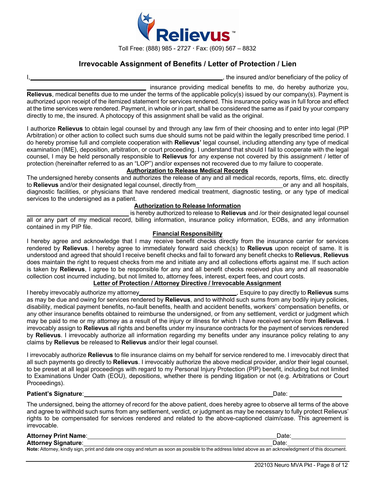

## **Irrevocable Assignment of Benefits / Letter of Protection / Lien**

 $\overline{\phantom{a}}$ , the insured and/or beneficiary of the policy of

insurance providing medical benefits to me, do hereby authorize you, **Relievus**, medical benefits due to me under the terms of the applicable policy(s) issued by our company(s). Payment is authorized upon receipt of the itemized statement for services rendered. This insurance policy was in full force and effect at the time services were rendered. Payment, in whole or in part, shall be considered the same as if paid by your company directly to me, the insured. A photocopy of this assignment shall be valid as the original.

I authorize **Relievus** to obtain legal counsel by and through any law firm of their choosing and to enter into legal (PIP Arbitration) or other action to collect such sums due should sums not be paid within the legally prescribed time period. I do hereby promise full and complete cooperation with **Relievus'** legal counsel, including attending any type of medical examination (IME), deposition, arbitration, or court proceeding. I understand that should I fail to cooperate with the legal counsel, I may be held personally responsible to **Relievus** for any expense not covered by this assignment / letter of protection (hereinafter referred to as an "LOP") and/or expenses not recovered due to my failure to cooperate.

### **Authorization to Release Medical Records**

The undersigned hereby consents and authorizes the release of any and all medical records, reports, films, etc. directly to **Relievus** and/or their designated legal counsel, directly from<br>to **Relievus** and/or their designa to Relievus and/or their designated legal counsel, directly from diagnostic facilities, or physicians that have rendered medical treatment, diagnostic testing, or any type of medical services to the undersigned as a patient.

#### **Authorization to Release Information**

is hereby authorized to release to **Relievus** and /or their designated legal counsel all or any part of my medical record, billing information, insurance policy information, EOBs, and any information contained in my PIP file.

#### **Financial Responsibility**

I hereby agree and acknowledge that I may receive benefit checks directly from the insurance carrier for services rendered by **Relievus**. I hereby agree to immediately forward said check(s) to **Relievus** upon receipt of same. It is understood and agreed that should I receive benefit checks and fail to forward any benefit checks to **Relievus**, **Relievus** does maintain the right to request checks from me and initiate any and all collections efforts against me. If such action is taken by **Relievus**, I agree to be responsible for any and all benefit checks received plus any and all reasonable collection cost incurred including, but not limited to, attorney fees, interest, expert fees, and court costs.

### **Letter of Protection / Attorney Directive / Irrevocable Assignment**

I hereby irrevocably authorize my attorney , Esquire to pay directly to **Relievus** sums as may be due and owing for services rendered by **Relievus**, and to withhold such sums from any bodily injury policies, disability, medical payment benefits, no-fault benefits, health and accident benefits, workers' compensation benefits, or any other insurance benefits obtained to reimburse the undersigned, or from any settlement, verdict or judgment which may be paid to me or my attorney as a result of the injury or illness for which I have received service from **Relievus**. I irrevocably assign to **Relievus** all rights and benefits under my insurance contracts for the payment of services rendered by **Relievus**. I irrevocably authorize all information regarding my benefits under any insurance policy relating to any claims by **Relievus** be released to **Relievus** and/or their legal counsel.

I irrevocably authorize **Relievus** to file insurance claims on my behalf for service rendered to me. I irrevocably direct that all such payments go directly to **Relievus**. I irrevocably authorize the above medical provider, and/or their legal counsel, to be preset at all legal proceedings with regard to my Personal Injury Protection (PIP) benefit, including but not limited to Examinations Under Oath (EOU), depositions, whether there is pending litigation or not (e.g. Arbitrations or Court Proceedings).

#### **Patient's Signature:** Date: Date: Date: Date: Date: Date: Date: Date: Date: Date: Date: Date: Date: Date: Date: Date: Date: Date: Date: Date: Date: Date: Date: Date: Date: Date: Date: Date: Date: Date: Date: Date: Date: D

The undersigned, being the attorney of record for the above patient, does hereby agree to observe all terms of the above and agree to withhold such sums from any settlement, verdict, or judgment as may be necessary to fully protect Relievus' rights to be compensated for services rendered and related to the above-captioned claim/case. This agreement is irrevocable.

| <b>Attorney Print Name:</b> | Date:                                                                                                                                                  |
|-----------------------------|--------------------------------------------------------------------------------------------------------------------------------------------------------|
| <b>Attorney Signature:</b>  | Date                                                                                                                                                   |
|                             | Note: Attorney, kindly sign, print and date one copy and return as soon as possible to the address listed above as an acknowledgment of this document. |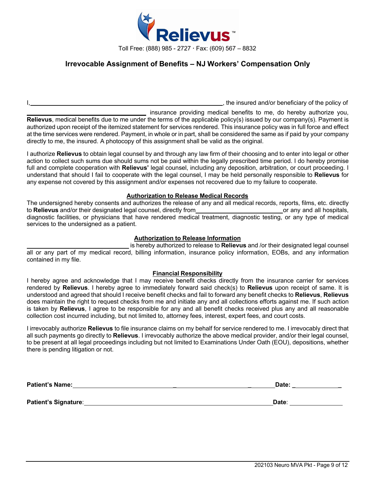

## **Irrevocable Assignment of Benefits – NJ Workers' Compensation Only**

I, the insured and/or beneficiary of the policy of

\_ insurance providing medical benefits to me, do hereby authorize you, **Relievus**, medical benefits due to me under the terms of the applicable policy(s) issued by our company(s). Payment is authorized upon receipt of the itemized statement for services rendered. This insurance policy was in full force and effect at the time services were rendered. Payment, in whole or in part, shall be considered the same as if paid by your company directly to me, the insured. A photocopy of this assignment shall be valid as the original.

I authorize **Relievus** to obtain legal counsel by and through any law firm of their choosing and to enter into legal or other action to collect such sums due should sums not be paid within the legally prescribed time period. I do hereby promise full and complete cooperation with **Relievus'** legal counsel, including any deposition, arbitration, or court proceeding. I understand that should I fail to cooperate with the legal counsel, I may be held personally responsible to **Relievus** for any expense not covered by this assignment and/or expenses not recovered due to my failure to cooperate.

#### **Authorization to Release Medical Records**

The undersigned hereby consents and authorizes the release of any and all medical records, reports, films, etc. directly to **Relievus** and/or their designated legal counsel, directly from to **Relievus** and/or their designated legal counsel, directly from **or any and all hospitals**, or any and all hospitals, diagnostic facilities, or physicians that have rendered medical treatment, diagnostic testing, or any type of medical services to the undersigned as a patient.

#### **Authorization to Release Information**

is hereby authorized to release to **Relievus** and /or their designated legal counsel all or any part of my medical record, billing information, insurance policy information, EOBs, and any information contained in my file.

#### **Financial Responsibility**

I hereby agree and acknowledge that I may receive benefit checks directly from the insurance carrier for services rendered by **Relievus**. I hereby agree to immediately forward said check(s) to **Relievus** upon receipt of same. It is understood and agreed that should I receive benefit checks and fail to forward any benefit checks to **Relievus**, **Relievus** does maintain the right to request checks from me and initiate any and all collections efforts against me. If such action is taken by **Relievus**, I agree to be responsible for any and all benefit checks received plus any and all reasonable collection cost incurred including, but not limited to, attorney fees, interest, expert fees, and court costs.

I irrevocably authorize **Relievus** to file insurance claims on my behalf for service rendered to me. I irrevocably direct that all such payments go directly to **Relievus**. I irrevocably authorize the above medical provider, and/or their legal counsel, to be present at all legal proceedings including but not limited to Examinations Under Oath (EOU), depositions, whether there is pending litigation or not.

| <b>Patient's Name:</b> | Date: |
|------------------------|-------|
|                        |       |
| Patient's Signature:   | Date: |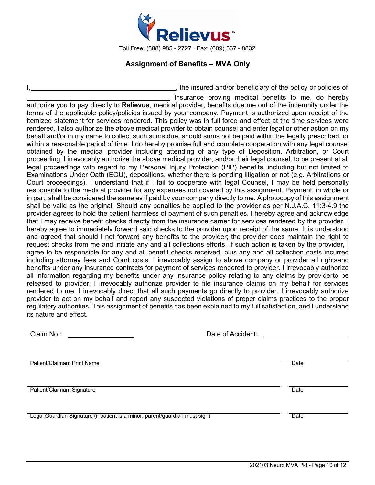

## **Assignment of Benefits – MVA Only**

striangleright in policies of the policy or policies of Insurance proving medical benefits to me, do hereby authorize you to pay directly to **Relievus**, medical provider, benefits due me out of the indemnity under the terms of the applicable policy/policies issued by your company. Payment is authorized upon receipt of the itemized statement for services rendered. This policy was in full force and effect at the time services were rendered. I also authorize the above medical provider to obtain counsel and enter legal or other action on my behalf and/or in my name to collect such sums due, should sums not be paid within the legally prescribed, or within a reasonable period of time. I do hereby promise full and complete cooperation with any legal counsel obtained by the medical provider including attending of any type of Deposition, Arbitration, or Court proceeding. I irrevocably authorize the above medical provider, and/or their legal counsel, to be present at all legal proceedings with regard to my Personal Injury Protection (PIP) benefits, including but not limited to Examinations Under Oath (EOU), depositions, whether there is pending litigation or not (e.g. Arbitrations or Court proceedings). I understand that if I fail to cooperate with legal Counsel, I may be held personally responsible to the medical provider for any expenses not covered by this assignment. Payment, in whole or in part, shall be considered the same as if paid by your company directly to me. A photocopy of this assignment shall be valid as the original. Should any penalties be applied to the provider as per N.J.A.C. 11:3-4.9 the provider agrees to hold the patient harmless of payment of such penalties. I hereby agree and acknowledge that I may receive benefit checks directly from the insurance carrier for services rendered by the provider. I hereby agree to immediately forward said checks to the provider upon receipt of the same. It is understood and agreed that should I not forward any benefits to the provider; the provider does maintain the right to request checks from me and initiate any and all collections efforts. If such action is taken by the provider, I agree to be responsible for any and all benefit checks received, plus any and all collection costs incurred including attorney fees and Court costs. I irrevocably assign to above company or provider all rightsand benefits under any insurance contracts for payment of services rendered to provider. I irrevocably authorize all information regarding my benefits under any insurance policy relating to any claims by providerto be released to provider. I irrevocably authorize provider to file insurance claims on my behalf for services rendered to me. I irrevocably direct that all such payments go directly to provider. I irrevocably authorize provider to act on my behalf and report any suspected violations of proper claims practices to the proper regulatory authorities. This assignment of benefits has been explained to my full satisfaction, and I understand its nature and effect.

| Claim No.:                                                                  | Date of Accident: |      |  |  |  |
|-----------------------------------------------------------------------------|-------------------|------|--|--|--|
| Patient/Claimant Print Name                                                 |                   | Date |  |  |  |
| Patient/Claimant Signature                                                  |                   | Date |  |  |  |
| Legal Guardian Signature (if patient is a minor, parent/guardian must sign) |                   | Date |  |  |  |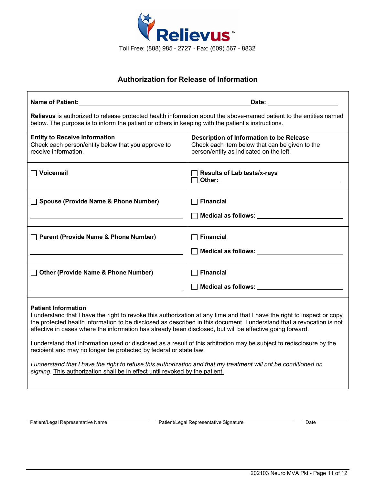

# **Authorization for Release of Information**

| Name of Patient: All the state of the state of the state of the state of the state of the state of the state of the state of the state of the state of the state of the state of the state of the state of the state of the st                                                                                                                                                                                                                                                                                                                                                                                                                                                                                 | Date: <u>___________________</u>                                                                                                                                                                                        |  |  |  |  |
|----------------------------------------------------------------------------------------------------------------------------------------------------------------------------------------------------------------------------------------------------------------------------------------------------------------------------------------------------------------------------------------------------------------------------------------------------------------------------------------------------------------------------------------------------------------------------------------------------------------------------------------------------------------------------------------------------------------|-------------------------------------------------------------------------------------------------------------------------------------------------------------------------------------------------------------------------|--|--|--|--|
|                                                                                                                                                                                                                                                                                                                                                                                                                                                                                                                                                                                                                                                                                                                | Relievus is authorized to release protected health information about the above-named patient to the entities named<br>below. The purpose is to inform the patient or others in keeping with the patient's instructions. |  |  |  |  |
| <b>Entity to Receive Information</b><br>Check each person/entity below that you approve to<br>receive information.                                                                                                                                                                                                                                                                                                                                                                                                                                                                                                                                                                                             | <b>Description of Information to be Release</b><br>Check each item below that can be given to the<br>person/entity as indicated on the left.                                                                            |  |  |  |  |
| $\Box$ Voicemail                                                                                                                                                                                                                                                                                                                                                                                                                                                                                                                                                                                                                                                                                               | <b>Results of Lab tests/x-rays</b>                                                                                                                                                                                      |  |  |  |  |
| <b>Spouse (Provide Name &amp; Phone Number)</b>                                                                                                                                                                                                                                                                                                                                                                                                                                                                                                                                                                                                                                                                | <b>Financial</b><br>◯ Medical as follows: <u>────────────</u> ────────                                                                                                                                                  |  |  |  |  |
| Parent (Provide Name & Phone Number)                                                                                                                                                                                                                                                                                                                                                                                                                                                                                                                                                                                                                                                                           | <b>Financial</b><br>Medical as follows: Network of Medical as follows:                                                                                                                                                  |  |  |  |  |
| <b>Other (Provide Name &amp; Phone Number)</b>                                                                                                                                                                                                                                                                                                                                                                                                                                                                                                                                                                                                                                                                 | $\Box$ Financial                                                                                                                                                                                                        |  |  |  |  |
| <b>Patient Information</b><br>I understand that I have the right to revoke this authorization at any time and that I have the right to inspect or copy<br>the protected health information to be disclosed as described in this document. I understand that a revocation is not<br>effective in cases where the information has already been disclosed, but will be effective going forward.<br>I understand that information used or disclosed as a result of this arbitration may be subject to redisclosure by the<br>recipient and may no longer be protected by federal or state law.<br>I understand that I have the right to refuse this authorization and that my treatment will not be conditioned on |                                                                                                                                                                                                                         |  |  |  |  |
| signing. This authorization shall be in effect until revoked by the patient.                                                                                                                                                                                                                                                                                                                                                                                                                                                                                                                                                                                                                                   |                                                                                                                                                                                                                         |  |  |  |  |

Patient/Legal Representative Name **Patient/Legal Representative Signature** Patient/Legal Representative Signature